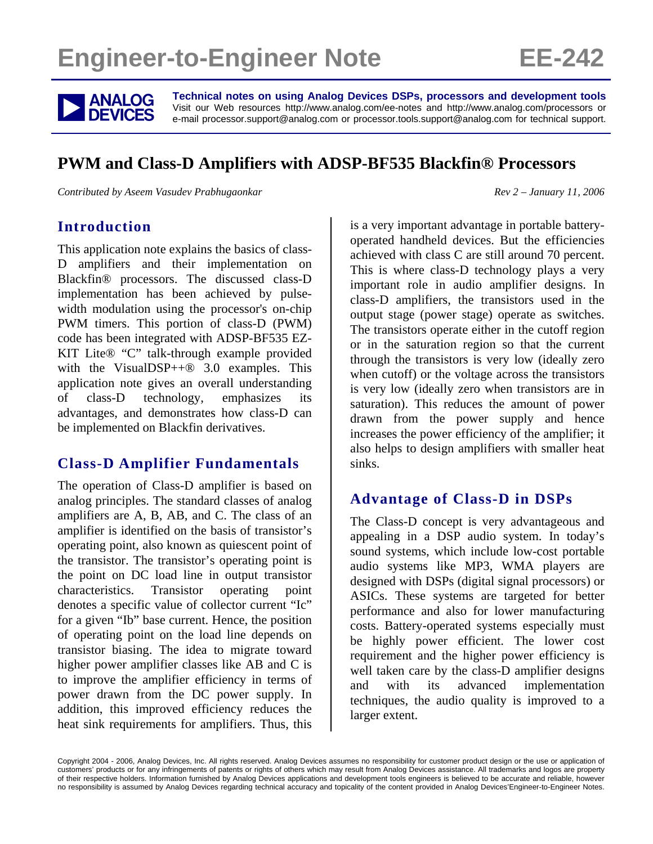# **Engineer-to-Engineer Note EE-242**



**ANALOG** Technical notes on using Analog Devices DSPs, processors and development tools<br>DEVICES visit our Web resources http://www.analog.com/ee-notes and http://www.analog.com/processors or<br>DEVICES e-mail processor.suppor Visit our Web resources http://www.analog.com/ee-notes and http://www.analog.com/processors or e-mail processor.support@analog.com or processor.tools.support@analog.com for technical support.

# **PWM and Class-D Amplifiers with ADSP-BF535 Blackfin® Processors**

*Contributed by Aseem Vasudev Prabhugaonkar*  $Rev 2 - January 11, 2006$ 

#### **Introduction**

This application note explains the basics of class-D amplifiers and their implementation on Blackfin® processors. The discussed class-D implementation has been achieved by pulsewidth modulation using the processor's on-chip PWM timers. This portion of class-D (PWM) code has been integrated with ADSP-BF535 EZ-KIT Lite® "C" talk-through example provided with the VisualDSP++® 3.0 examples. This application note gives an overall understanding of class-D technology, emphasizes its advantages, and demonstrates how class-D can be implemented on Blackfin derivatives.

### **Class-D Amplifier Fundamentals**

The operation of Class-D amplifier is based on analog principles. The standard classes of analog amplifiers are A, B, AB, and C. The class of an amplifier is identified on the basis of transistor's operating point, also known as quiescent point of the transistor. The transistor's operating point is the point on DC load line in output transistor characteristics. Transistor operating point denotes a specific value of collector current "Ic" for a given "Ib" base current. Hence, the position of operating point on the load line depends on transistor biasing. The idea to migrate toward higher power amplifier classes like AB and C is to improve the amplifier efficiency in terms of power drawn from the DC power supply. In addition, this improved efficiency reduces the heat sink requirements for amplifiers. Thus, this is a very important advantage in portable batteryoperated handheld devices. But the efficiencies achieved with class C are still around 70 percent. This is where class-D technology plays a very important role in audio amplifier designs. In class-D amplifiers, the transistors used in the output stage (power stage) operate as switches. The transistors operate either in the cutoff region or in the saturation region so that the current through the transistors is very low (ideally zero when cutoff) or the voltage across the transistors is very low (ideally zero when transistors are in saturation). This reduces the amount of power drawn from the power supply and hence increases the power efficiency of the amplifier; it also helps to design amplifiers with smaller heat sinks.

### **Advantage of Class-D in DSPs**

The Class-D concept is very advantageous and appealing in a DSP audio system. In today's sound systems, which include low-cost portable audio systems like MP3, WMA players are designed with DSPs (digital signal processors) or ASICs. These systems are targeted for better performance and also for lower manufacturing costs. Battery-operated systems especially must be highly power efficient. The lower cost requirement and the higher power efficiency is well taken care by the class-D amplifier designs and with its advanced implementation techniques, the audio quality is improved to a larger extent.

Copyright 2004 - 2006, Analog Devices, Inc. All rights reserved. Analog Devices assumes no responsibility for customer product design or the use or application of customers' products or for any infringements of patents or rights of others which may result from Analog Devices assistance. All trademarks and logos are property of their respective holders. Information furnished by Analog Devices applications and development tools engineers is believed to be accurate and reliable, however no responsibility is assumed by Analog Devices regarding technical accuracy and topicality of the content provided in Analog Devices'Engineer-to-Engineer Notes.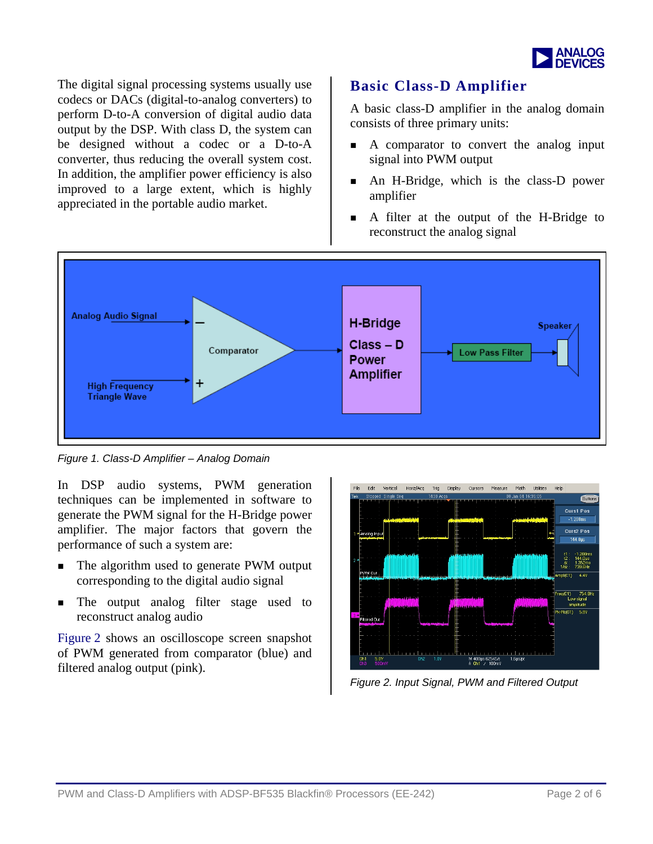

The digital signal processing systems usually use codecs or DACs (digital-to-analog converters) to perform D-to-A conversion of digital audio data output by the DSP. With class D, the system can be designed without a codec or a D-to-A converter, thus reducing the overall system cost. In addition, the amplifier power efficiency is also improved to a large extent, which is highly appreciated in the portable audio market.

### **Basic Class-D Amplifier**

A basic class-D amplifier in the analog domain consists of three primary units:

- A comparator to convert the analog input signal into PWM output
- An H-Bridge, which is the class-D power amplifier
- A filter at the output of the H-Bridge to reconstruct the analog signal



*Figure 1. Class-D Amplifier – Analog Domain* 

In DSP audio systems, PWM generation techniques can be implemented in software to generate the PWM signal for the H-Bridge power amplifier. The major factors that govern the performance of such a system are:

- The algorithm used to generate PWM output corresponding to the digital audio signal
- The output analog filter stage used to reconstruct analog audio

[Figure 2](#page-1-0) shows an oscilloscope screen snapshot of PWM generated from comparator (blue) and filtered analog output (pink).

<span id="page-1-0"></span>

*Figure 2. Input Signal, PWM and Filtered Output*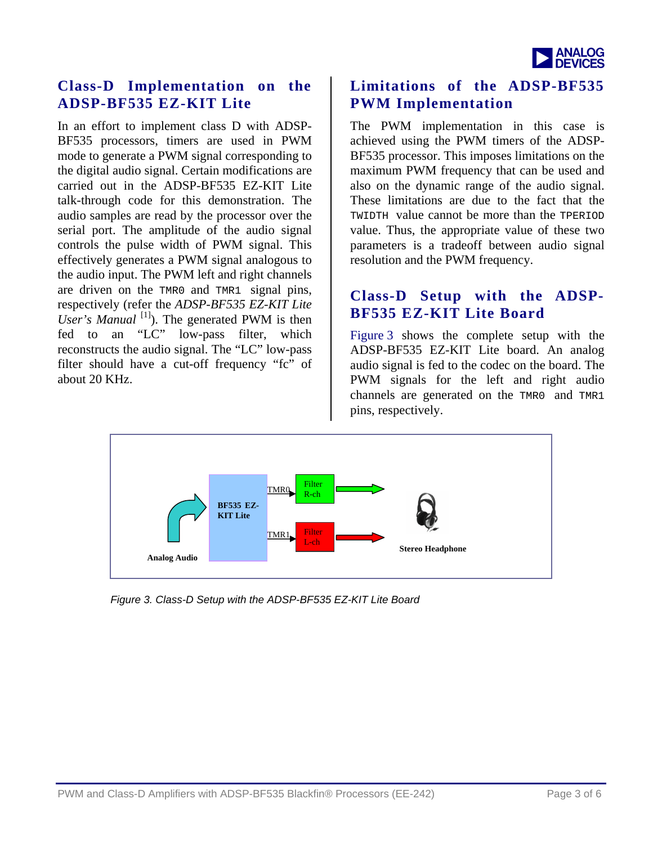

#### **Class-D Implementation on the ADSP-BF535 EZ-KIT Lite**

In an effort to implement class D with ADSP-BF535 processors, timers are used in PWM mode to generate a PWM signal corresponding to the digital audio signal. Certain modifications are carried out in the ADSP-BF535 EZ-KIT Lite talk-through code for this demonstration. The audio samples are read by the processor over the serial port. The amplitude of the audio signal controls the pulse width of PWM signal. This effectively generates a PWM signal analogous to the audio input. The PWM left and right channels are driven on the TMR0 and TMR1 signal pins, respectively (refer the *ADSP-BF535 EZ-KIT Lite User's Manual* <sup>[1]</sup>). The generated PWM is then fed to an "LC" low-pass filter, which reconstructs the audio signal. The "LC" low-pass filter should have a cut-off frequency "fc" of about 20 KHz.

#### **Limitations of the ADSP-BF535 PWM Implementation**

The PWM implementation in this case is achieved using the PWM timers of the ADSP-BF535 processor. This imposes limitations on the maximum PWM frequency that can be used and also on the dynamic range of the audio signal. These limitations are due to the fact that the TWIDTH value cannot be more than the TPERIOD value. Thus, the appropriate value of these two parameters is a tradeoff between audio signal resolution and the PWM frequency.

#### **Class-D Setup with the ADSP-BF535 EZ-KIT Lite Board**

[Figure 3](#page-2-0) shows the complete setup with the ADSP-BF535 EZ-KIT Lite board. An analog audio signal is fed to the codec on the board. The PWM signals for the left and right audio channels are generated on the TMR0 and TMR1 pins, respectively.



<span id="page-2-0"></span>*Figure 3. Class-D Setup with the ADSP-BF535 EZ-KIT Lite Board*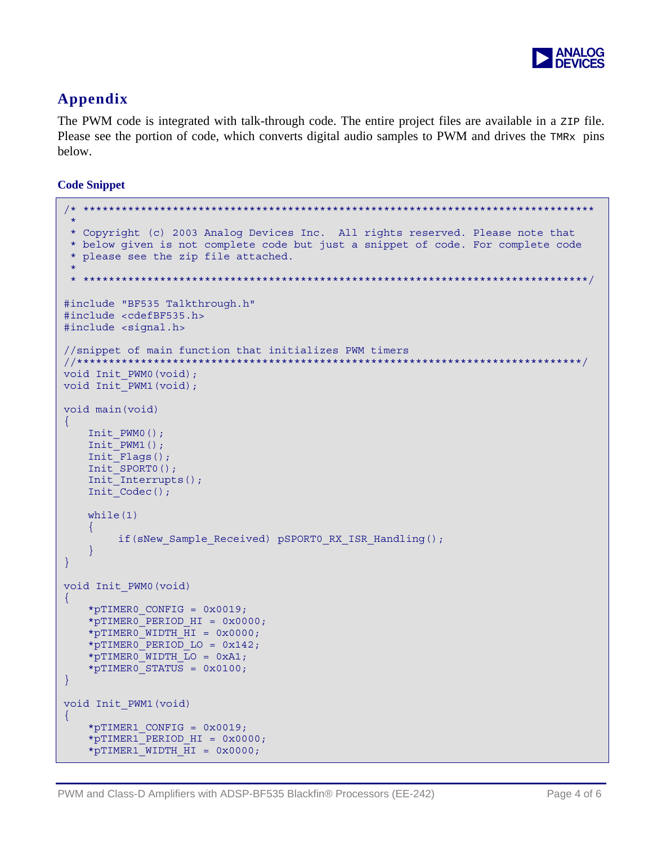

## Appendix

The PWM code is integrated with talk-through code. The entire project files are available in a z<sub>IP</sub> file. Please see the portion of code, which converts digital audio samples to PWM and drives the TMRx pins below.

#### **Code Snippet**

```
* Copyright (c) 2003 Analog Devices Inc. All rights reserved. Please note that
* below given is not complete code but just a snippet of code. For complete code
 * please see the zip file attached.
 #include "BF535 Talkthrough.h"
#include <cdefBF535.h>
#include <signal.h>
//snippet of main function that initializes PWM timers
void Init PWM0(void);
void Init PWM1 (void);
void main (void)
\left\{ \right.Init PWM0();
   Init PWM1();
   Init Flags();
   Init SPORTO ();
   Init Interrupts();
   Init Codec();
   while(1)\left\{ \right.if (sNew Sample Received) pSPORT0 RX ISR Handling ();
\}void Init PWM0 (void)
\mathcal{L}*pTIMER0 CONFIG = 0x0019;
   *pTIMERO PERIOD HI = 0x0000;
   *pTIMERO WIDTH \overline{H}I = 0x0000;
   *pTIMERO PERIOD LO = 0x142;
   *pTIMERO WIDTH LO = 0xA1;*pTIMERO STATUS = 0 \times 0100;
\}void Init PWM1 (void)
\mathcal{L}*pTIMER1 CONFIG = 0x0019;
   *pTIMER1 PERIOD HI = 0x0000;
   *pTIMER1 WIDTH HI = 0x0000;
```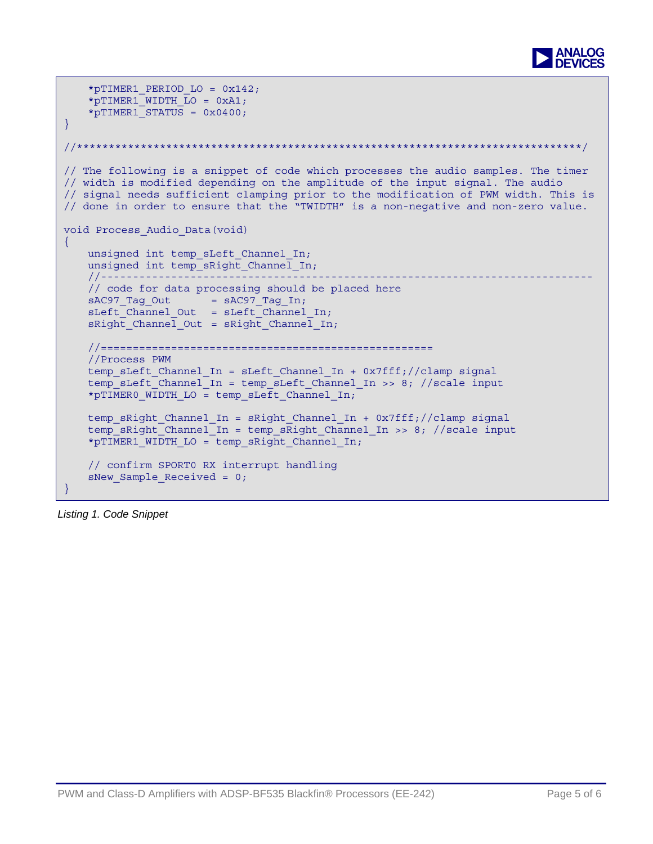

```
*pTIMER1 PERIOD LO = 0x142;*pTIMER1 WIDTH LO = 0xA1;*pTIMER1\overline{\text{STATUS}} = 0x0400;
} 
//*******************************************************************************/ 
// The following is a snippet of code which processes the audio samples. The timer 
// width is modified depending on the amplitude of the input signal. The audio 
// signal needs sufficient clamping prior to the modification of PWM width. This is 
// done in order to ensure that the "TWIDTH" is a non-negative and non-zero value. 
void Process_Audio_Data(void) 
\left\{ \right.unsigned int temp sLeft Channel In;
     unsigned int temp_sRight_Channel_In; 
     //----------------------------------------------------------------------------- 
     // code for data processing should be placed here 
    sAC97 Tag Out = sAC97 Tag In;
    sLeft Channel Out = sLeft Channel In;
    skight Channel Out = skight Channel In;
     //==================================================== 
     //Process PWM 
     temp_sLeft_Channel_In = sLeft_Channel_In + 0x7fff;//clamp signal 
     temp_sLeft_Channel_In = temp_sLeft_Channel_In >> 8; //scale input 
     *pTIMER0_WIDTH_LO = temp_sLeft_Channel_In; 
    temp sRight Channel In = sRight Channel In + 0x7fff;//clamp signal
    temp sRight Channel In = temp sRight Channel In >> 8; //scale input
     *pTIMER1_WIDTH_LO = temp_sRight_Channel_In; 
     // confirm SPORT0 RX interrupt handling 
    sNew Sample Received = 0;
}
```
*Listing 1. Code Snippet*